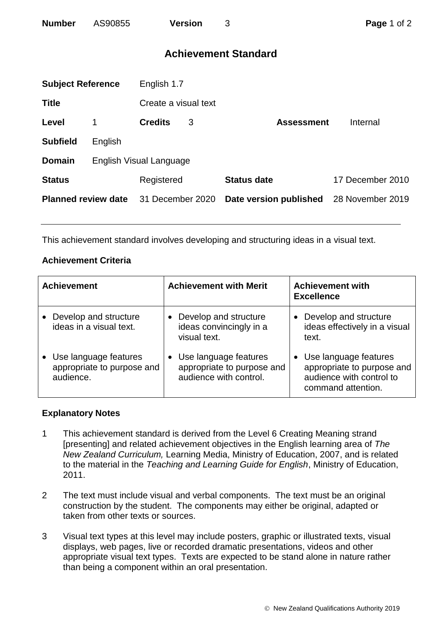# **Achievement Standard**

| <b>Subject Reference</b>   |                         | English 1.7          |   |                        |                  |  |  |
|----------------------------|-------------------------|----------------------|---|------------------------|------------------|--|--|
| <b>Title</b>               |                         | Create a visual text |   |                        |                  |  |  |
| Level                      | 1                       | <b>Credits</b>       | 3 | <b>Assessment</b>      | Internal         |  |  |
| <b>Subfield</b>            | English                 |                      |   |                        |                  |  |  |
| <b>Domain</b>              | English Visual Language |                      |   |                        |                  |  |  |
| <b>Status</b>              |                         | Registered           |   | <b>Status date</b>     | 17 December 2010 |  |  |
| <b>Planned review date</b> |                         | 31 December 2020     |   | Date version published | 28 November 2019 |  |  |

This achievement standard involves developing and structuring ideas in a visual text.

## **Achievement Criteria**

| <b>Achievement</b>                                               | <b>Achievement with Merit</b>                                                   | <b>Achievement with</b><br><b>Excellence</b>                                                          |
|------------------------------------------------------------------|---------------------------------------------------------------------------------|-------------------------------------------------------------------------------------------------------|
| Develop and structure<br>ideas in a visual text.                 | Develop and structure<br>ideas convincingly in a<br>visual text.                | Develop and structure<br>ideas effectively in a visual<br>text.                                       |
| Use language features<br>appropriate to purpose and<br>audience. | • Use language features<br>appropriate to purpose and<br>audience with control. | Use language features<br>appropriate to purpose and<br>audience with control to<br>command attention. |

### **Explanatory Notes**

- 1 This achievement standard is derived from the Level 6 Creating Meaning strand [presenting] and related achievement objectives in the English learning area of *The New Zealand Curriculum,* Learning Media, Ministry of Education, 2007, and is related to the material in the *Teaching and Learning Guide for English*, Ministry of Education, 2011.
- 2 The text must include visual and verbal components. The text must be an original construction by the student. The components may either be original, adapted or taken from other texts or sources.
- 3 Visual text types at this level may include posters, graphic or illustrated texts, visual displays, web pages, live or recorded dramatic presentations, videos and other appropriate visual text types. Texts are expected to be stand alone in nature rather than being a component within an oral presentation.